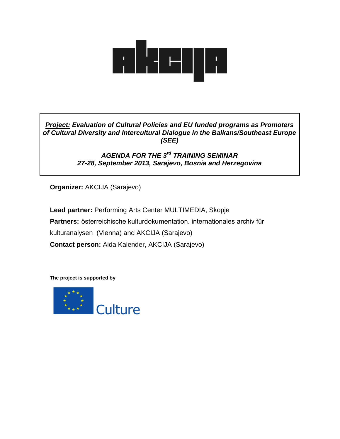

*Project: Evaluation of Cultural Policies and EU funded programs as Promoters of Cultural Diversity and Intercultural Dialogue in the Balkans/Southeast Europe (SEE)*

# *AGENDA FOR THE 3rd TRAINING SEMINAR 27-28, September 2013, Sarajevo, Bosnia and Herzegovina*

**Organizer:** AKCIJA (Sarajevo)

**Lead partner:** Performing Arts Center MULTIMEDIA, Skopje **Partners:** österreichische kulturdokumentation. internationales archiv für kulturanalysen (Vienna) and AKCIJA (Sarajevo) **Contact person:** Aida Kalender, AKCIJA (Sarajevo)

**The project is supported by** 

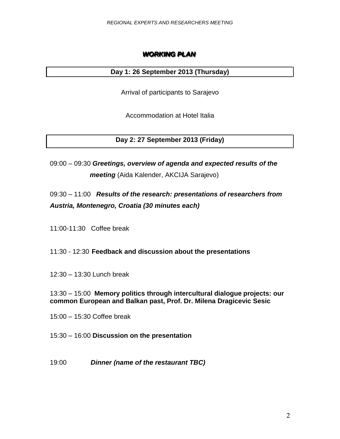# **WORKING PLAN**

### **Day 1: 26 September 2013 (Thursday)**

Arrival of participants to Sarajevo

Accommodation at Hotel Italia

**Day 2: 27 September 2013 (Friday)**

09:00 – 09:30 *Greetings, overview of agenda and expected results of the meeting* (Aida Kalender, AKCIJA Sarajevo)

09:30 – 11:00 *Results of the research: presentations of researchers from Austria, Montenegro, Croatia (30 minutes each)* 

11:00-11:30Coffee break

11:30 - 12:30 **Feedback and discussion about the presentations** 

12:30 – 13:30 Lunch break

13:30 – 15:00 **Memory politics through intercultural dialogue projects: our common European and Balkan past, Prof. Dr. Milena Dragicevic Sesic**

15:00 – 15:30 Coffee break

15:30 – 16:00 **Discussion on the presentation** 

19:00 *Dinner (name of the restaurant TBC)*